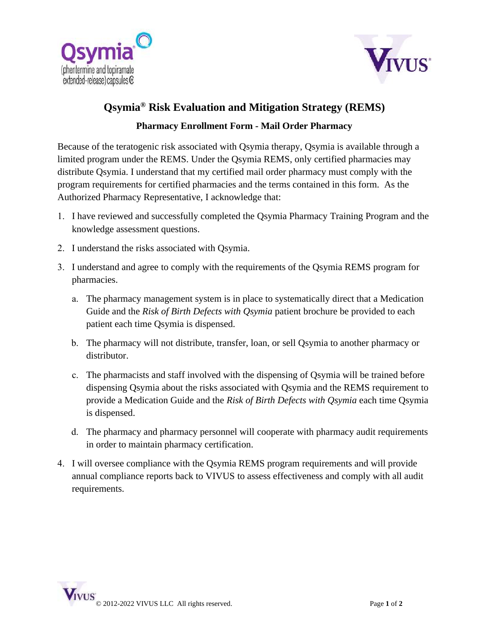



## **Qsymia® Risk Evaluation and Mitigation Strategy (REMS)**

## **Pharmacy Enrollment Form - Mail Order Pharmacy**

Because of the teratogenic risk associated with Osymia therapy, Osymia is available through a limited program under the REMS. Under the Qsymia REMS, only certified pharmacies may distribute Qsymia. I understand that my certified mail order pharmacy must comply with the program requirements for certified pharmacies and the terms contained in this form. As the Authorized Pharmacy Representative, I acknowledge that:

- 1. I have reviewed and successfully completed the Qsymia Pharmacy Training Program and the knowledge assessment questions.
- 2. I understand the risks associated with Qsymia.
- 3. I understand and agree to comply with the requirements of the Qsymia REMS program for pharmacies.
	- a. The pharmacy management system is in place to systematically direct that a Medication Guide and the *Risk of Birth Defects with Qsymia* patient brochure be provided to each patient each time Qsymia is dispensed.
	- b. The pharmacy will not distribute, transfer, loan, or sell Qsymia to another pharmacy or distributor.
	- c. The pharmacists and staff involved with the dispensing of Qsymia will be trained before dispensing Qsymia about the risks associated with Qsymia and the REMS requirement to provide a Medication Guide and the *Risk of Birth Defects with Qsymia* each time Qsymia is dispensed.
	- d. The pharmacy and pharmacy personnel will cooperate with pharmacy audit requirements in order to maintain pharmacy certification.
- 4. I will oversee compliance with the Qsymia REMS program requirements and will provide annual compliance reports back to VIVUS to assess effectiveness and comply with all audit requirements.